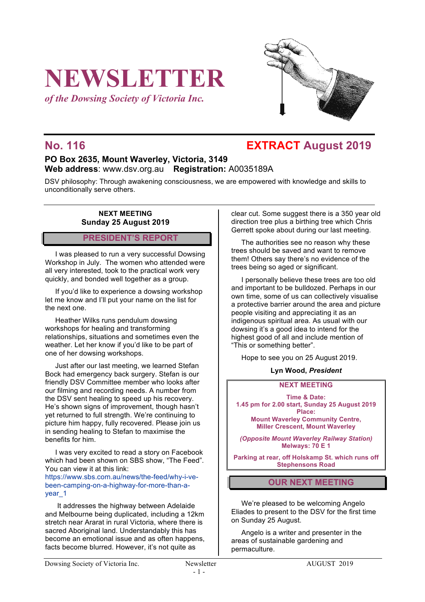# **NEWSLETTER**

*of the Dowsing Society of Victoria Inc.*



### **No. 116 EXTRACT August 2019**

#### **PO Box 2635, Mount Waverley, Victoria, 3149 Web address**: www.dsv.org.au **Registration:** A0035189A

DSV philosophy: Through awakening consciousness, we are empowered with knowledge and skills to unconditionally serve others.

#### **NEXT MEETING Sunday 25 August 2019**

#### **PRESIDENT'S REPORT**

I was pleased to run a very successful Dowsing Workshop in July. The women who attended were all very interested, took to the practical work very quickly, and bonded well together as a group.

If you'd like to experience a dowsing workshop let me know and I'll put your name on the list for the next one.

Heather Wilks runs pendulum dowsing workshops for healing and transforming relationships, situations and sometimes even the weather. Let her know if you'd like to be part of one of her dowsing workshops.

Just after our last meeting, we learned Stefan Bock had emergency back surgery. Stefan is our friendly DSV Committee member who looks after our filming and recording needs. A number from the DSV sent healing to speed up his recovery. He's shown signs of improvement, though hasn't yet returned to full strength. We're continuing to picture him happy, fully recovered. Please join us in sending healing to Stefan to maximise the benefits for him.

I was very excited to read a story on Facebook which had been shown on SBS show, "The Feed". You can view it at this link:

https://www.sbs.com.au/news/the-feed/why-i-vebeen-camping-on-a-highway-for-more-than-ayear<sub>1</sub>

It addresses the highway between Adelaide and Melbourne being duplicated, including a 12km stretch near Ararat in rural Victoria, where there is sacred Aboriginal land. Understandably this has become an emotional issue and as often happens, facts become blurred. However, it's not quite as

clear cut. Some suggest there is a 350 year old direction tree plus a birthing tree which Chris Gerrett spoke about during our last meeting.

The authorities see no reason why these trees should be saved and want to remove them! Others say there's no evidence of the trees being so aged or significant.

I personally believe these trees are too old and important to be bulldozed. Perhaps in our own time, some of us can collectively visualise a protective barrier around the area and picture people visiting and appreciating it as an indigenous spiritual area. As usual with our dowsing it's a good idea to intend for the highest good of all and include mention of "This or something better".

Hope to see you on 25 August 2019.

#### **Lyn Wood,** *President*

#### **NEXT MEETING**

**Time & Date: 1.45 pm for 2.00 start, Sunday 25 August 2019 Place:**

**Mount Waverley Community Centre, Miller Crescent, Mount Waverley**

*(Opposite Mount Waverley Railway Station)* **Melways: 70 E 1**

**Parking at rear, off Holskamp St. which runs off Stephensons Road**

#### **OUR NEXT MEETING**

We're pleased to be welcoming Angelo Eliades to present to the DSV for the first time on Sunday 25 August.

Angelo is a writer and presenter in the areas of sustainable gardening and permaculture.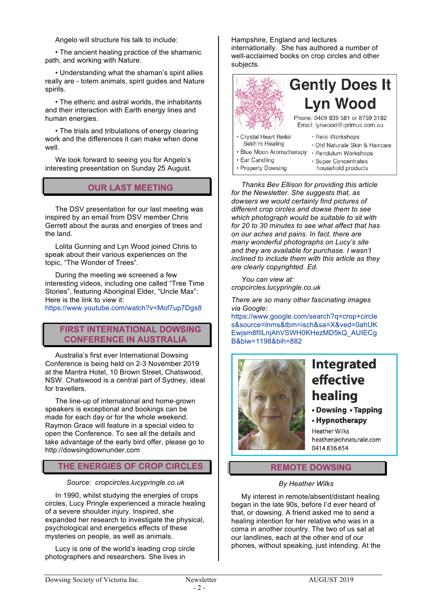Angelo will structure his talk to include:

• The ancient healing practice of the shamanic path, and working with Nature.

• Understanding what the shaman's spirit allies really are - totem animals, spirit guides and Nature spirits.

• The etheric and astral worlds, the inhabitants and their interaction with Earth energy lines and human energies.

• The trials and tribulations of energy clearing work and the differences it can make when done well.

We look forward to seeing you for Angelo's interesting presentation on Sunday 25 August.

#### **OUR LAST MEETING**

The DSV presentation for our last meeting was inspired by an email from DSV member Chris Gerrett about the auras and energies of trees and the land.

Lolita Gunning and Lyn Wood joined Chris to speak about their various experiences on the topic, "The Wonder of Trees".

During the meeting we screened a few interesting videos, including one called "Tree Time Stories", featuring Aboriginal Elder, "Uncle Max": Here is the link to view it:

https://www.youtube.com/watch?v=Mof7up7Dgs8

#### **FIRST INTERNATIONAL DOWSING CONFERENCE IN AUSTRALIA**

Australia's first ever International Dowsing Conference is being held on 2-3 November 2019 at the Mantra Hotel, 10 Brown Street, Chatswood, NSW. Chatswood is a central part of Sydney, ideal for travellers.

The line-up of international and home-grown speakers is exceptional and bookings can be made for each day or for the whole weekend. Raymon Grace will feature in a special video to open the Conference. To see all the details and take advantage of the early bird offer, please go to http://dowsingdownunder.com

#### **THE ENERGIES OF CROP CIRCLES**

#### *Source: cropcircles.lucypringle.co.uk*

In 1990, whilst studying the energies of crops circles, Lucy Pringle experienced a miracle healing of a severe shoulder injury. Inspired, she expanded her research to investigate the physical, psychological and energetics effects of these mysteries on people, as well as animals.

Lucy is one of the world's leading crop circle photographers and researchers. She lives in

Hampshire, England and lectures internationally. She has authored a number of well-acclaimed books on crop circles and other subjects.



*Thanks Bev Ellison for providing this article for the Newsletter. She suggests that, as dowsers we would certainly find pictures of different crop circles and dowse them to see which photograph would be suitable to sit with for 20 to 30 minutes to see what affect that has on our aches and pains. In fact, there are many wonderful photographs on Lucy's site and they are available for purchase. I wasn't inclined to include them with this article as they are clearly copyrighted. Ed.*

*You can view at: cropcircles.lucypringle.co.uk*

*There are so many other fascinating images via Google:* 

https://www.google.com/search?q=crop+circle s&source=lnms&tbm=isch&sa=X&ved=0ahUK Ewjsm8fIlLnjAhVSWH0KHezMD5kQ\_AUIECg B&biw=1198&bih=882



## **Integrated** effective healing

- Dowsing Tapping
- Hypnotherapy

**Heather Wilks** heather@ohnaturale.com 0414836654

#### **REMOTE DOWSING**

#### *By Heather Wilks*

My interest in remote/absent/distant healing began in the late 90s, before I'd ever heard of that, or dowsing. A friend asked me to send a healing intention for her relative who was in a coma in another country. The two of us sat at our landlines, each at the other end of our phones, without speaking, just intending. At the